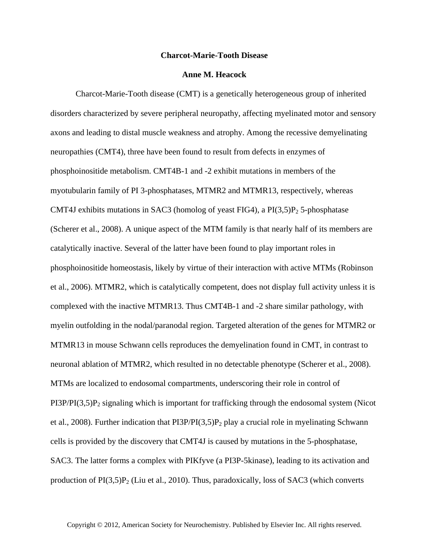## **Charcot-Marie-Tooth Disease**

## **Anne M. Heacock**

Charcot-Marie-Tooth disease (CMT) is a genetically heterogeneous group of inherited disorders characterized by severe peripheral neuropathy, affecting myelinated motor and sensory axons and leading to distal muscle weakness and atrophy. Among the recessive demyelinating neuropathies (CMT4), three have been found to result from defects in enzymes of phosphoinositide metabolism. CMT4B-1 and -2 exhibit mutations in members of the myotubularin family of PI 3-phosphatases, MTMR2 and MTMR13, respectively, whereas CMT4J exhibits mutations in SAC3 (homolog of yeast FIG4), a  $PI(3,5)P_2$  5-phosphatase (Scherer et al., 2008). A unique aspect of the MTM family is that nearly half of its members are catalytically inactive. Several of the latter have been found to play important roles in phosphoinositide homeostasis, likely by virtue of their interaction with active MTMs (Robinson et al., 2006). MTMR2, which is catalytically competent, does not display full activity unless it is complexed with the inactive MTMR13. Thus CMT4B-1 and -2 share similar pathology, with myelin outfolding in the nodal/paranodal region. Targeted alteration of the genes for MTMR2 or MTMR13 in mouse Schwann cells reproduces the demyelination found in CMT, in contrast to neuronal ablation of MTMR2, which resulted in no detectable phenotype (Scherer et al., 2008). MTMs are localized to endosomal compartments, underscoring their role in control of  $PI3P/PI(3,5)P_2$  signaling which is important for trafficking through the endosomal system (Nicot et al., 2008). Further indication that  $PI3P/I(3,5)P_2$  play a crucial role in myelinating Schwann cells is provided by the discovery that CMT4J is caused by mutations in the 5-phosphatase, SAC3. The latter forms a complex with PIKfyve (a PI3P-5kinase), leading to its activation and production of  $PI(3,5)P_2$  (Liu et al., 2010). Thus, paradoxically, loss of SAC3 (which converts